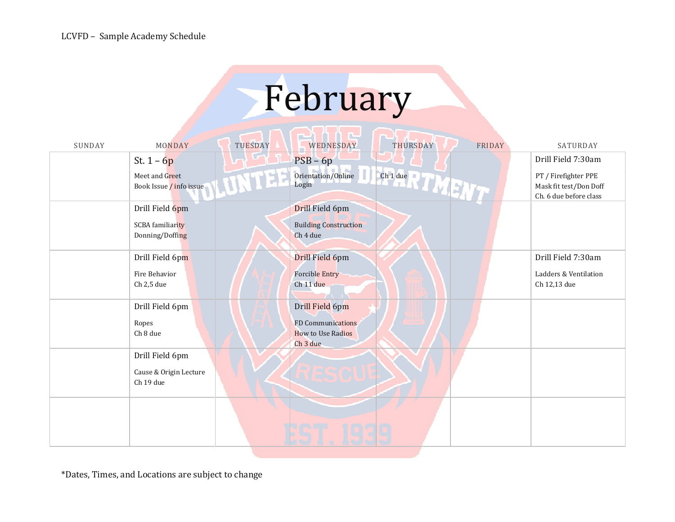## February

| SUNDAY | MONDAY                                                 | TUESDAY | WEDNESDAY                                                                   | THURSDAY             | FRIDAY | SATURDAY                                                                 |
|--------|--------------------------------------------------------|---------|-----------------------------------------------------------------------------|----------------------|--------|--------------------------------------------------------------------------|
|        | St. $1 - 6p$                                           |         | $PSB - 6p$                                                                  |                      |        | Drill Field 7:30am                                                       |
|        | Meet and Greet<br>Book Issue / info issue              |         | Orientation/Online<br>Login                                                 | Ch 1 due R II W H 17 |        | PT / Firefighter PPE<br>Mask fit test/Don Doff<br>Ch. 6 due before class |
|        | Drill Field 6pm                                        |         | Drill Field 6pm                                                             |                      |        |                                                                          |
|        | <b>SCBA</b> familiarity<br>Donning/Doffing             |         | <b>Building Construction</b><br>Ch <sub>4</sub> due                         |                      |        |                                                                          |
|        | Drill Field 6pm                                        |         | Drill Field 6pm                                                             |                      |        | Drill Field 7:30am                                                       |
|        | Fire Behavior<br>Ch 2,5 due                            |         | <b>Forcible Entry</b><br>Ch 11 due                                          |                      |        | Ladders & Ventilation<br>Ch 12,13 due                                    |
|        | Drill Field 6pm                                        |         | Drill Field 6pm                                                             |                      |        |                                                                          |
|        | Ropes<br>${\rm Ch}$ 8 due                              |         | <b>FD Communications</b><br><b>How to Use Radios</b><br>Ch <sub>3</sub> due |                      |        |                                                                          |
|        | Drill Field 6pm<br>Cause & Origin Lecture<br>Ch 19 due |         |                                                                             |                      |        |                                                                          |
|        |                                                        |         |                                                                             |                      |        |                                                                          |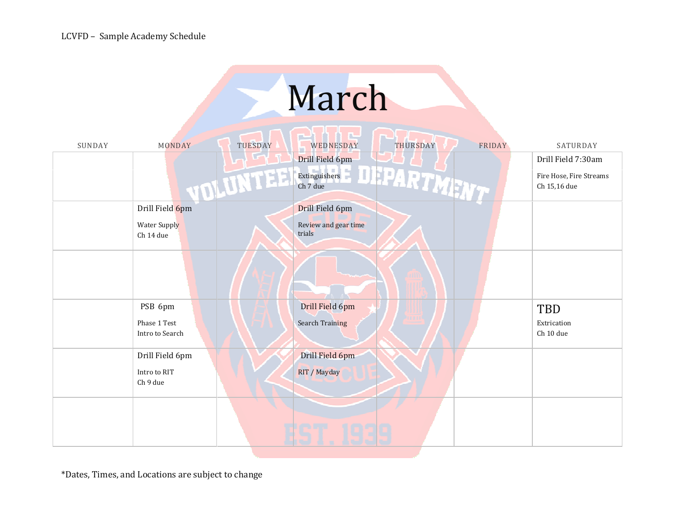## March

والمسامى

| SUNDAY | MONDAY                          | TUESDAY         | WEDNESDAY                      | THURSDAY                                       | FRIDAY | SATURDAY                                |
|--------|---------------------------------|-----------------|--------------------------------|------------------------------------------------|--------|-----------------------------------------|
|        |                                 |                 | Drill Field 6pm                |                                                |        | Drill Field 7:30am                      |
|        |                                 | <b>TOLUMIES</b> |                                | Drill Field op<br>Extinguishers<br>Extendibles |        | Fire Hose, Fire Streams<br>Ch 15,16 due |
|        | Drill Field 6pm                 |                 | Drill Field 6pm                |                                                |        |                                         |
|        | Water Supply<br>Ch 14 due       |                 | Review and gear time<br>trials |                                                |        |                                         |
|        |                                 |                 |                                |                                                |        |                                         |
|        | PSB 6pm                         |                 | Drill Field 6pm                |                                                |        | TBD                                     |
|        | Phase 1 Test<br>Intro to Search |                 | <b>Search Training</b>         |                                                |        | Extrication<br>Ch 10 due                |
|        | Drill Field 6pm                 |                 | Drill Field 6pm                |                                                |        |                                         |
|        | Intro to RIT<br>Ch 9 due        |                 | RIT / Mayday                   |                                                |        |                                         |
|        |                                 |                 |                                |                                                |        |                                         |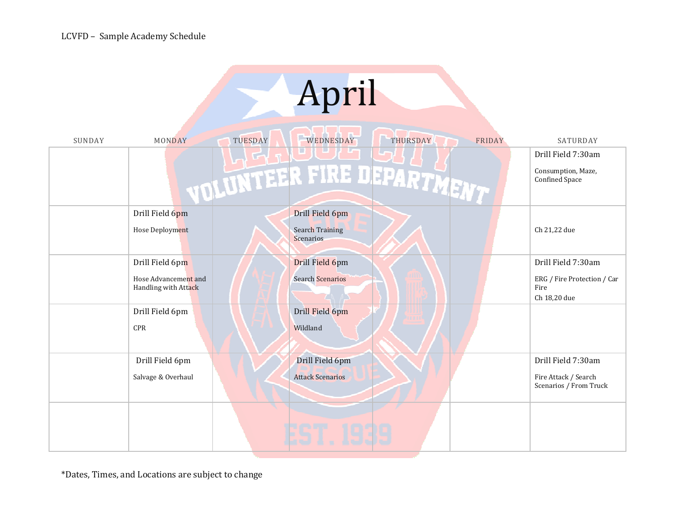| April  |                                              |                                            |                                                     |  |  |  |  |
|--------|----------------------------------------------|--------------------------------------------|-----------------------------------------------------|--|--|--|--|
| SUNDAY | TUESDAY<br>MONDAY                            | WEDNESDAY<br>THURSDAY<br>FRIDAY            | SATURDAY                                            |  |  |  |  |
|        |                                              | ı.                                         | Drill Field 7:30am                                  |  |  |  |  |
|        |                                              | VOLUNTEER FIRE DEPARTMENT                  | Consumption, Maze,<br>Confined Space                |  |  |  |  |
|        | Drill Field 6pm                              | Drill Field 6pm                            |                                                     |  |  |  |  |
|        | Hose Deployment                              | <b>Search Training</b><br><b>Scenarios</b> | Ch 21,22 due                                        |  |  |  |  |
|        | Drill Field 6pm                              | Drill Field 6pm                            | Drill Field 7:30am                                  |  |  |  |  |
|        | Hose Advancement and<br>Handling with Attack | <b>Search Scenarios</b>                    | ERG / Fire Protection / Car<br>Fire<br>Ch 18,20 due |  |  |  |  |
|        | Drill Field 6pm                              | Drill Field 6pm                            |                                                     |  |  |  |  |
|        | <b>CPR</b>                                   | Wildland                                   |                                                     |  |  |  |  |
|        | Drill Field 6pm                              | Drill Field 6pm                            | Drill Field 7:30am                                  |  |  |  |  |
|        | Salvage & Overhaul                           | <b>Attack Scenarios</b>                    | Fire Attack / Search<br>Scenarios / From Truck      |  |  |  |  |
|        |                                              |                                            |                                                     |  |  |  |  |
|        |                                              |                                            |                                                     |  |  |  |  |